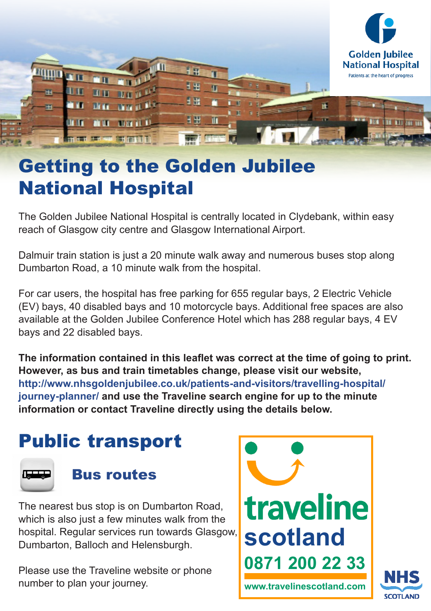

# Getting to the Golden Jubilee National Hospital

The Golden Jubilee National Hospital is centrally located in Clydebank, within easy reach of Glasgow city centre and Glasgow International Airport.

Dalmuir train station is just a 20 minute walk away and numerous buses stop along Dumbarton Road, a 10 minute walk from the hospital.

For car users, the hospital has free parking for 655 regular bays, 2 Electric Vehicle (EV) bays, 40 disabled bays and 10 motorcycle bays. Additional free spaces are also available at the Golden Jubilee Conference Hotel which has 288 regular bays, 4 EV bays and 22 disabled bays.

**The information contained in this leaflet was correct at the time of going to print. However, as bus and train timetables change, please visit our website, http://www.nhsgoldenjubilee.co.uk/patients-and-visitors/travelling-hospital/ journey-planner/ and use the Traveline search engine for up to the minute information or contact Traveline directly using the details below.**

# Public transport



### Bus routes

The nearest bus stop is on Dumbarton Road, which is also just a few minutes walk from the hospital. Regular services run towards Glasgow, Dumbarton, Balloch and Helensburgh.

Please use the Traveline website or phone number to plan your journey.



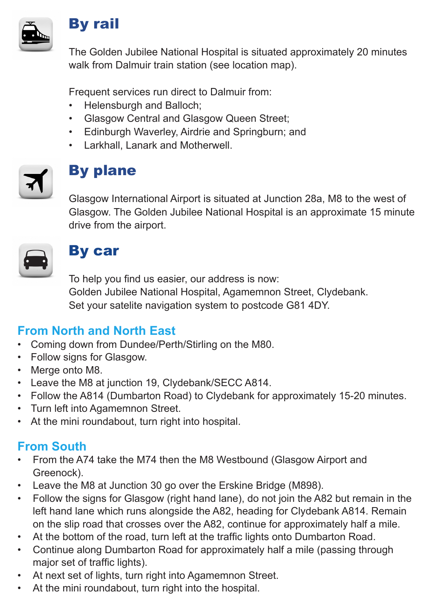

#### By rail

The Golden Jubilee National Hospital is situated approximately 20 minutes walk from Dalmuir train station (see location map).

Frequent services run direct to Dalmuir from:

- Helensburgh and Balloch:
- • Glasgow Central and Glasgow Queen Street;
- • Edinburgh Waverley, Airdrie and Springburn; and
- • Larkhall, Lanark and Motherwell.



# By plane

Glasgow International Airport is situated at Junction 28a, M8 to the west of Glasgow. The Golden Jubilee National Hospital is an approximate 15 minute drive from the airport.



## By car

To help you find us easier, our address is now: Golden Jubilee National Hospital, Agamemnon Street, Clydebank. Set your satelite navigation system to postcode G81 4DY.

#### **From North and North East**

- • Coming down from Dundee/Perth/Stirling on the M80.
- • Follow signs for Glasgow.
- Merge onto M8.
- • Leave the M8 at junction 19, Clydebank/SECC A814.
- • Follow the A814 (Dumbarton Road) to Clydebank for approximately 15-20 minutes.
- Turn left into Agamemnon Street.
- • At the mini roundabout, turn right into hospital.

#### **From South**

- • From the A74 take the M74 then the M8 Westbound (Glasgow Airport and Greenock).
- • Leave the M8 at Junction 30 go over the Erskine Bridge (M898).
- • Follow the signs for Glasgow (right hand lane), do not join the A82 but remain in the left hand lane which runs alongside the A82, heading for Clydebank A814. Remain on the slip road that crosses over the A82, continue for approximately half a mile.
- At the bottom of the road, turn left at the traffic lights onto Dumbarton Road.
- • Continue along Dumbarton Road for approximately half a mile (passing through major set of traffic lights).
- • At next set of lights, turn right into Agamemnon Street.
- At the mini roundabout, turn right into the hospital.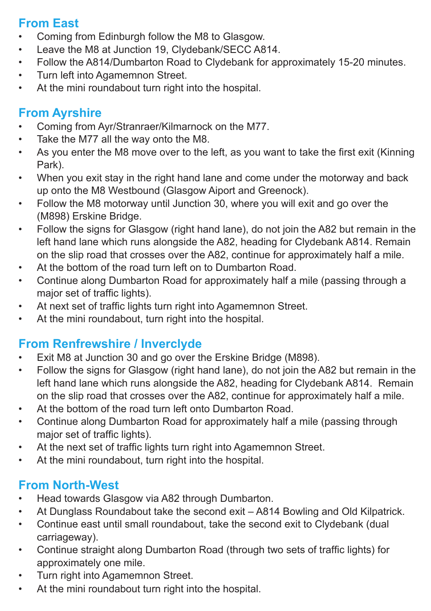#### **From East**

- • Coming from Edinburgh follow the M8 to Glasgow.
- • Leave the M8 at Junction 19, Clydebank/SECC A814.
- • Follow the A814/Dumbarton Road to Clydebank for approximately 15-20 minutes.
- • Turn left into Agamemnon Street.
- • At the mini roundabout turn right into the hospital.

# **From Ayrshire**

- • Coming from Ayr/Stranraer/Kilmarnock on the M77.
- • Take the M77 all the way onto the M8.
- • As you enter the M8 move over to the left, as you want to take the first exit (Kinning Park).
- When you exit stay in the right hand lane and come under the motorway and back up onto the M8 Westbound (Glasgow Aiport and Greenock).
- Follow the M8 motorway until Junction 30, where you will exit and go over the (M898) Erskine Bridge.
- • Follow the signs for Glasgow (right hand lane), do not join the A82 but remain in the left hand lane which runs alongside the A82, heading for Clydebank A814. Remain on the slip road that crosses over the A82, continue for approximately half a mile.
- • At the bottom of the road turn left on to Dumbarton Road.
- • Continue along Dumbarton Road for approximately half a mile (passing through a major set of traffic lights).
- • At next set of traffic lights turn right into Agamemnon Street.
- • At the mini roundabout, turn right into the hospital.

# **From Renfrewshire / Inverclyde**

- • Exit M8 at Junction 30 and go over the Erskine Bridge (M898).
- • Follow the signs for Glasgow (right hand lane), do not join the A82 but remain in the left hand lane which runs alongside the A82, heading for Clydebank A814. Remain on the slip road that crosses over the A82, continue for approximately half a mile.
- At the bottom of the road turn left onto Dumbarton Road.
- • Continue along Dumbarton Road for approximately half a mile (passing through major set of traffic lights).
- At the next set of traffic lights turn right into Agamemnon Street.
- • At the mini roundabout, turn right into the hospital.

# **From North-West**

- • Head towards Glasgow via A82 through Dumbarton.
- At Dunglass Roundabout take the second exit A814 Bowling and Old Kilpatrick.
- • Continue east until small roundabout, take the second exit to Clydebank (dual carriageway).
- • Continue straight along Dumbarton Road (through two sets of traffic lights) for approximately one mile.
- • Turn right into Agamemnon Street.
- At the mini roundabout turn right into the hospital.